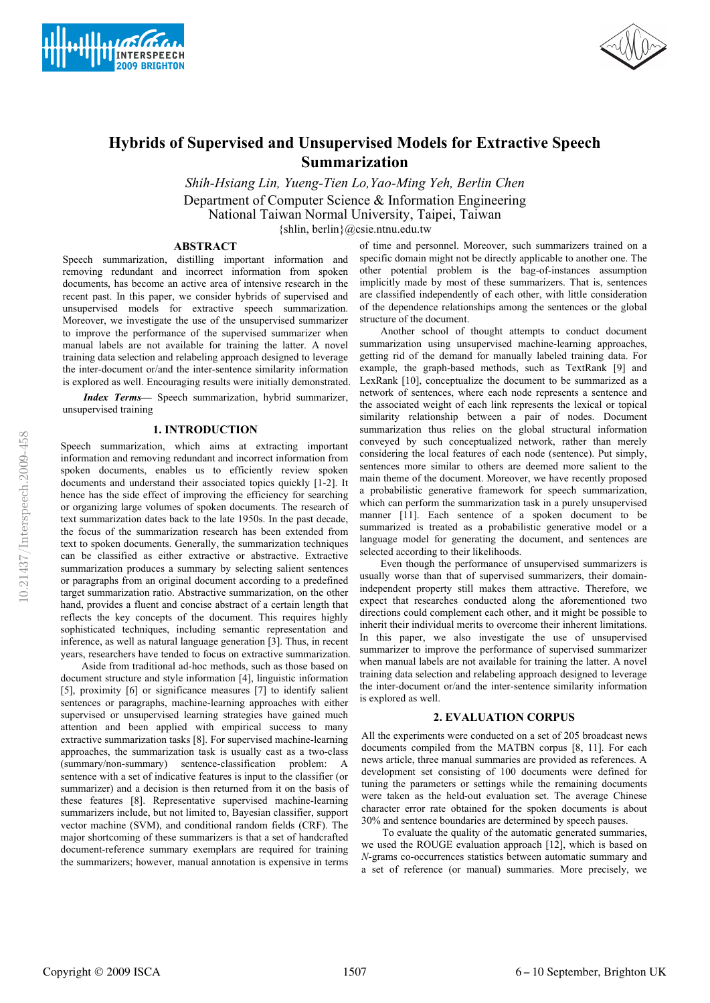



# **Hybrids of Supervised and Unsupervised Models for Extractive Speech Summarization**

*Shih-Hsiang Lin, Yueng-Tien Lo,Yao-Ming Yeh, Berlin Chen* Department of Computer Science & Information Engineering National Taiwan Normal University, Taipei, Taiwan

{shlin, berlin}@csie.ntnu.edu.tw

## **ABSTRACT**

Speech summarization, distilling important information and removing redundant and incorrect information from spoken documents, has become an active area of intensive research in the recent past. In this paper, we consider hybrids of supervised and unsupervised models for extractive speech summarization. Moreover, we investigate the use of the unsupervised summarizer to improve the performance of the supervised summarizer when manual labels are not available for training the latter. A novel training data selection and relabeling approach designed to leverage the inter-document or/and the inter-sentence similarity information is explored as well. Encouraging results were initially demonstrated.

*Index Terms—* Speech summarization, hybrid summarizer, unsupervised training

## **1. INTRODUCTION**

Speech summarization, which aims at extracting important information and removing redundant and incorrect information from spoken documents, enables us to efficiently review spoken documents and understand their associated topics quickly [1-2]. It hence has the side effect of improving the efficiency for searching or organizing large volumes of spoken documents. The research of text summarization dates back to the late 1950s. In the past decade, the focus of the summarization research has been extended from text to spoken documents. Generally, the summarization techniques can be classified as either extractive or abstractive. Extractive summarization produces a summary by selecting salient sentences or paragraphs from an original document according to a predefined target summarization ratio. Abstractive summarization, on the other hand, provides a fluent and concise abstract of a certain length that reflects the key concepts of the document. This requires highly sophisticated techniques, including semantic representation and inference, as well as natural language generation [3]. Thus, in recent years, researchers have tended to focus on extractive summarization.

Aside from traditional ad-hoc methods, such as those based on document structure and style information [4], linguistic information [5], proximity [6] or significance measures [7] to identify salient sentences or paragraphs, machine-learning approaches with either supervised or unsupervised learning strategies have gained much attention and been applied with empirical success to many extractive summarization tasks [8]. For supervised machine-learning approaches, the summarization task is usually cast as a two-class (summary/non-summary) sentence-classification problem: A sentence with a set of indicative features is input to the classifier (or summarizer) and a decision is then returned from it on the basis of these features [8]. Representative supervised machine-learning summarizers include, but not limited to, Bayesian classifier, support vector machine (SVM), and conditional random fields (CRF). The major shortcoming of these summarizers is that a set of handcrafted document-reference summary exemplars are required for training the summarizers; however, manual annotation is expensive in terms

of time and personnel. Moreover, such summarizers trained on a specific domain might not be directly applicable to another one. The other potential problem is the bag-of-instances assumption implicitly made by most of these summarizers. That is, sentences are classified independently of each other, with little consideration of the dependence relationships among the sentences or the global structure of the document.

Another school of thought attempts to conduct document summarization using unsupervised machine-learning approaches, getting rid of the demand for manually labeled training data. For example, the graph-based methods, such as TextRank [9] and LexRank [10], conceptualize the document to be summarized as a network of sentences, where each node represents a sentence and the associated weight of each link represents the lexical or topical similarity relationship between a pair of nodes. Document summarization thus relies on the global structural information conveyed by such conceptualized network, rather than merely considering the local features of each node (sentence). Put simply, sentences more similar to others are deemed more salient to the main theme of the document. Moreover, we have recently proposed a probabilistic generative framework for speech summarization, which can perform the summarization task in a purely unsupervised manner [11]. Each sentence of a spoken document to be summarized is treated as a probabilistic generative model or a language model for generating the document, and sentences are selected according to their likelihoods.

Even though the performance of unsupervised summarizers is usually worse than that of supervised summarizers, their domainindependent property still makes them attractive. Therefore, we expect that researches conducted along the aforementioned two directions could complement each other, and it might be possible to inherit their individual merits to overcome their inherent limitations. In this paper, we also investigate the use of unsupervised summarizer to improve the performance of supervised summarizer when manual labels are not available for training the latter. A novel training data selection and relabeling approach designed to leverage the inter-document or/and the inter-sentence similarity information is explored as well.

#### **2. EVALUATION CORPUS**

All the experiments were conducted on a set of 205 broadcast news documents compiled from the MATBN corpus [8, 11]. For each news article, three manual summaries are provided as references. A development set consisting of 100 documents were defined for tuning the parameters or settings while the remaining documents were taken as the held-out evaluation set. The average Chinese character error rate obtained for the spoken documents is about 30% and sentence boundaries are determined by speech pauses.

To evaluate the quality of the automatic generated summaries, we used the ROUGE evaluation approach [12], which is based on *N*-grams co-occurrences statistics between automatic summary and a set of reference (or manual) summaries. More precisely, we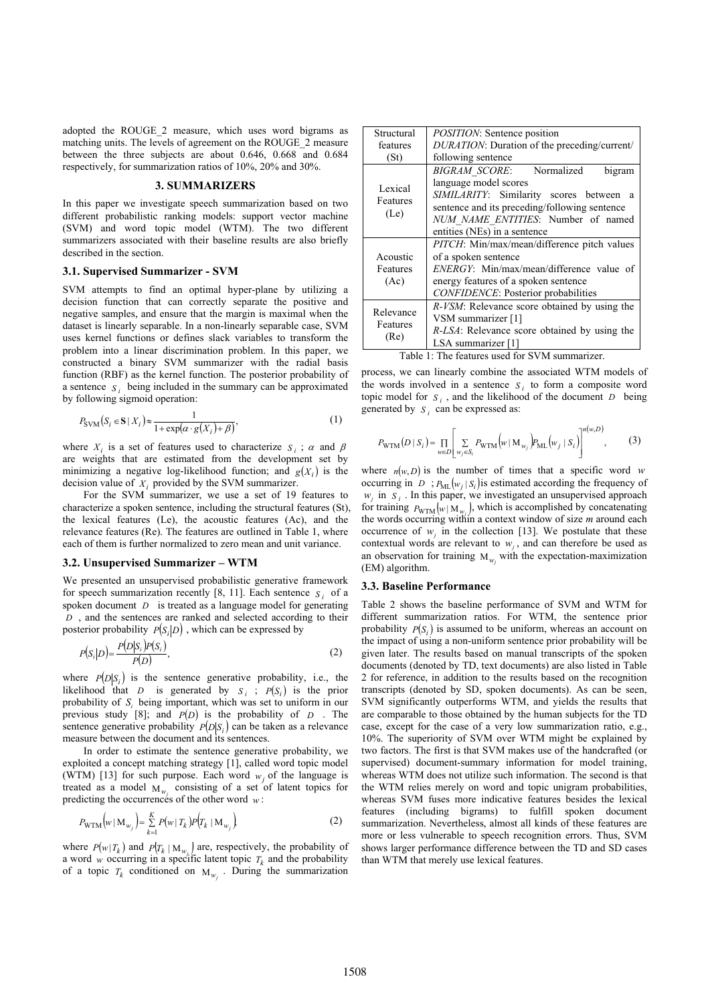adopted the ROUGE*\_*2 measure, which uses word bigrams as matching units. The levels of agreement on the ROUGE*\_*2 measure between the three subjects are about 0.646, 0.668 and 0.684 respectively, for summarization ratios of 10%, 20% and 30%.

#### **3. SUMMARIZERS**

In this paper we investigate speech summarization based on two different probabilistic ranking models: support vector machine (SVM) and word topic model (WTM). The two different summarizers associated with their baseline results are also briefly described in the section.

## **3.1. Supervised Summarizer - SVM**

SVM attempts to find an optimal hyper-plane by utilizing a decision function that can correctly separate the positive and negative samples, and ensure that the margin is maximal when the dataset is linearly separable. In a non-linearly separable case, SVM uses kernel functions or defines slack variables to transform the problem into a linear discrimination problem. In this paper, we constructed a binary SVM summarizer with the radial basis function (RBF) as the kernel function. The posterior probability of a sentence *<sup>S</sup> <sup>i</sup>* being included in the summary can be approximated by following sigmoid operation:

$$
P_{\text{SVM}}(S_i \in \mathbf{S} \mid X_i) \approx \frac{1}{1 + \exp(\alpha \cdot g(X_i) + \beta)},\tag{1}
$$

where  $X_i$  is a set of features used to characterize  $S_i$ ;  $\alpha$  and  $\beta$ are weights that are estimated from the development set by minimizing a negative log-likelihood function; and  $g(X_i)$  is the decision value of  $X_i$  provided by the SVM summarizer.

For the SVM summarizer, we use a set of 19 features to characterize a spoken sentence, including the structural features (St), the lexical features (Le), the acoustic features (Ac), and the relevance features (Re). The features are outlined in Table 1, where each of them is further normalized to zero mean and unit variance.

#### **3.2. Unsupervised Summarizer – WTM**

We presented an unsupervised probabilistic generative framework for speech summarization recently [8, 11]. Each sentence  $S_i$  of a spoken document *D* is treated as a language model for generating *D* , and the sentences are ranked and selected according to their posterior probability  $P(S_i|D)$ , which can be expressed by

$$
P(Si|D) = \frac{P(D|Si)P(Si)}{P(D)},
$$
\n(2)

where  $P(D|S_i)$  is the sentence generative probability, i.e., the likelihood that *D* is generated by  $S_i$ ;  $P(S_i)$  is the prior probability of *Si* being important, which was set to uniform in our previous study [8]; and  $P(D)$  is the probability of  $D$ . The sentence generative probability  $P(D|S_i)$  can be taken as a relevance measure between the document and its sentences.

In order to estimate the sentence generative probability, we exploited a concept matching strategy [1], called word topic model (WTM) [13] for such purpose. Each word  $w_i$  of the language is treated as a model  $M_w$  consisting of a set of latent topics for predicting the occurrences of the other word  $w$ :

$$
P_{\text{WTM}}(w \,|\, \mathbf{M}_{w_j}) = \sum_{k=1}^{K} P(w \,|\, T_k) P(T_k \,|\, \mathbf{M}_{w_j})
$$
\n(2)

where  $P(w|T_k)$  and  $P(T_k|M_{w_i})$  are, respectively, the probability of a word *w* occurring in a specific latent topic  $T_k$  and the probability of a topic  $T_k$  conditioned on  $M_{w_k}$ . During the summarization

| Structural                  | <i>POSITION</i> : Sentence position                                                                 |  |  |  |
|-----------------------------|-----------------------------------------------------------------------------------------------------|--|--|--|
| features                    | <i>DURATION</i> : Duration of the preceding/current/                                                |  |  |  |
| (St)                        | following sentence                                                                                  |  |  |  |
| Lexical<br>Features<br>(Le) | BIGRAM SCORE: Normalized<br>bigram<br>language model scores                                         |  |  |  |
|                             | SIMILARITY: Similarity scores between a                                                             |  |  |  |
|                             | sentence and its preceding/following sentence                                                       |  |  |  |
|                             | NUM NAME ENTITIES: Number of named                                                                  |  |  |  |
|                             | entities (NEs) in a sentence                                                                        |  |  |  |
|                             | <i>PITCH</i> : Min/max/mean/difference pitch values                                                 |  |  |  |
| Acoustic                    | of a spoken sentence                                                                                |  |  |  |
| Features                    | ENERGY: Min/max/mean/difference value of                                                            |  |  |  |
| (Ac)                        | energy features of a spoken sentence                                                                |  |  |  |
|                             | <b>CONFIDENCE:</b> Posterior probabilities                                                          |  |  |  |
| Relevance                   | <i>R-VSM</i> : Relevance score obtained by using the                                                |  |  |  |
|                             | VSM summarizer [1]                                                                                  |  |  |  |
| Features                    | <i>R-LSA</i> : Relevance score obtained by using the                                                |  |  |  |
| (Re)                        | LSA summarizer [1]                                                                                  |  |  |  |
| m 11                        | $\sim$ $\sim$ $\sim$ $\sim$ $\sim$ $\sim$<br>$\mathbf{1}$<br>$\mathbf{m}$ $\mathbf{c}$ $\mathbf{c}$ |  |  |  |

Table 1: The features used for SVM summarizer.

process, we can linearly combine the associated WTM models of the words involved in a sentence  $S_i$  to form a composite word topic model for  $S_i$ , and the likelihood of the document *D* being generated by  $S_i$  can be expressed as:

$$
P_{\text{WTM}}(D \mid S_i) = \prod_{w \in D} \left[ \sum_{w_j \in S_i} P_{\text{WTM}}(w \mid M_{w_j}) P_{\text{ML}}(w_j \mid S_i) \right]^{n(w, D)}, \tag{3}
$$

where  $n(w, D)$  is the number of times that a specific word *w* occurring in *D* ;  $P_{ML}(w_i | S_i)$  is estimated according the frequency of  $w_j$  in  $S_i$ . In this paper, we investigated an unsupervised approach for training  $P_{\text{WTM}}(w \mid M_w)$ , which is accomplished by concatenating the words occurring within a context window of size *m* around each occurrence of  $w_i$  in the collection [13]. We postulate that these contextual words are relevant to  $w_i$ , and can therefore be used as an observation for training  $M_{w_i}$  with the expectation-maximization (EM) algorithm.

### **3.3. Baseline Performance**

Table 2 shows the baseline performance of SVM and WTM for different summarization ratios. For WTM, the sentence prior probability  $P(S_i)$  is assumed to be uniform, whereas an account on the impact of using a non-uniform sentence prior probability will be given later. The results based on manual transcripts of the spoken documents (denoted by TD, text documents) are also listed in Table 2 for reference, in addition to the results based on the recognition transcripts (denoted by SD, spoken documents). As can be seen, SVM significantly outperforms WTM, and yields the results that are comparable to those obtained by the human subjects for the TD case, except for the case of a very low summarization ratio, e.g., 10%. The superiority of SVM over WTM might be explained by two factors. The first is that SVM makes use of the handcrafted (or supervised) document-summary information for model training, whereas WTM does not utilize such information. The second is that the WTM relies merely on word and topic unigram probabilities, whereas SVM fuses more indicative features besides the lexical features (including bigrams) to fulfill spoken document summarization. Nevertheless, almost all kinds of these features are more or less vulnerable to speech recognition errors. Thus, SVM shows larger performance difference between the TD and SD cases than WTM that merely use lexical features.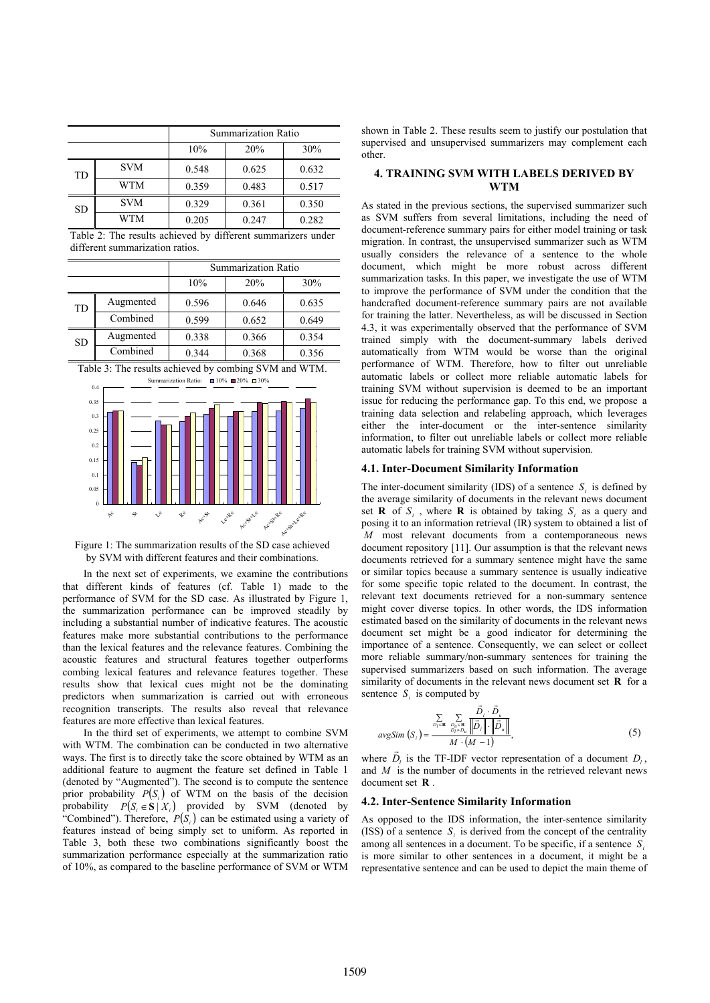|           |            | Summarization Ratio |       |       |
|-----------|------------|---------------------|-------|-------|
|           |            | 10%                 | 20%   | 30%   |
| TD        | <b>SVM</b> | 0.548               | 0.625 | 0.632 |
|           | <b>WTM</b> | 0.359               | 0.483 | 0.517 |
| <b>SD</b> | <b>SVM</b> | 0.329               | 0.361 | 0.350 |
|           | WTM        | 0.205               | 0.247 | 0.282 |

Table 2: The results achieved by different summarizers under different summarization ratios.

|           |           | Summarization Ratio |       |       |  |
|-----------|-----------|---------------------|-------|-------|--|
|           |           | 10%                 | 20%   | 30%   |  |
| TD        | Augmented | 0.596               | 0.646 | 0.635 |  |
|           | Combined  | 0.599               | 0.652 | 0.649 |  |
| <b>SD</b> | Augmented | 0.338               | 0.366 | 0.354 |  |
|           | Combined  | 0.344               | 0.368 | 0.356 |  |



Figure 1: The summarization results of the SD case achieved by SVM with different features and their combinations.

In the next set of experiments, we examine the contributions that different kinds of features (cf. Table 1) made to the performance of SVM for the SD case. As illustrated by Figure 1, the summarization performance can be improved steadily by including a substantial number of indicative features. The acoustic features make more substantial contributions to the performance than the lexical features and the relevance features. Combining the acoustic features and structural features together outperforms combing lexical features and relevance features together. These results show that lexical cues might not be the dominating predictors when summarization is carried out with erroneous recognition transcripts. The results also reveal that relevance features are more effective than lexical features.

In the third set of experiments, we attempt to combine SVM with WTM. The combination can be conducted in two alternative ways. The first is to directly take the score obtained by WTM as an additional feature to augment the feature set defined in Table 1 (denoted by "Augmented"). The second is to compute the sentence prior probability  $P(S_i)$  of WTM on the basis of the decision probability  $P(S_i \in S | X_i)$  provided by SVM (denoted by "Combined"). Therefore,  $P(S_i)$  can be estimated using a variety of features instead of being simply set to uniform. As reported in Table 3, both these two combinations significantly boost the summarization performance especially at the summarization ratio of 10%, as compared to the baseline performance of SVM or WTM

shown in Table 2. These results seem to justify our postulation that supervised and unsupervised summarizers may complement each other.

# **4. TRAINING SVM WITH LABELS DERIVED BY WTM**

As stated in the previous sections, the supervised summarizer such as SVM suffers from several limitations, including the need of document-reference summary pairs for either model training or task migration. In contrast, the unsupervised summarizer such as WTM usually considers the relevance of a sentence to the whole document, which might be more robust across different summarization tasks. In this paper, we investigate the use of WTM to improve the performance of SVM under the condition that the handcrafted document-reference summary pairs are not available for training the latter. Nevertheless, as will be discussed in Section 4.3, it was experimentally observed that the performance of SVM trained simply with the document-summary labels derived automatically from WTM would be worse than the original performance of WTM. Therefore, how to filter out unreliable automatic labels or collect more reliable automatic labels for training SVM without supervision is deemed to be an important issue for reducing the performance gap. To this end, we propose a training data selection and relabeling approach, which leverages either the inter-document or the inter-sentence similarity information, to filter out unreliable labels or collect more reliable automatic labels for training SVM without supervision.

## **4.1. Inter-Document Similarity Information**

The inter-document similarity (IDS) of a sentence  $S_i$  is defined by the average similarity of documents in the relevant news document set **R** of  $S_i$ , where **R** is obtained by taking  $S_i$  as a query and posing it to an information retrieval (IR) system to obtained a list of *M* most relevant documents from a contemporaneous news document repository [11]. Our assumption is that the relevant news documents retrieved for a summary sentence might have the same or similar topics because a summary sentence is usually indicative for some specific topic related to the document. In contrast, the relevant text documents retrieved for a non-summary sentence might cover diverse topics. In other words, the IDS information estimated based on the similarity of documents in the relevant news document set might be a good indicator for determining the importance of a sentence. Consequently, we can select or collect more reliable summary/non-summary sentences for training the supervised summarizers based on such information. The average similarity of documents in the relevant news document set **R** for a sentence  $S_i$  is computed by

$$
avgSim(Si) = \frac{\sum\limits_{D_i \in \mathbf{R}} \sum\limits_{D_i \neq D_u} \frac{\vec{D}_i \cdot \vec{D}_u}{\left\| \vec{D}_i \right\| \cdot \left\| \vec{D}_u \right\|}}{M \cdot (M-1)},
$$
\n(5)

where  $\overrightarrow{D}_l$  is the TF-IDF vector representation of a document  $D_l$ , and *M* is the number of documents in the retrieved relevant news document set **R** .

## **4.2. Inter-Sentence Similarity Information**

As opposed to the IDS information, the inter-sentence similarity (ISS) of a sentence  $S_i$  is derived from the concept of the centrality among all sentences in a document. To be specific, if a sentence *S*, is more similar to other sentences in a document, it might be a representative sentence and can be used to depict the main theme of